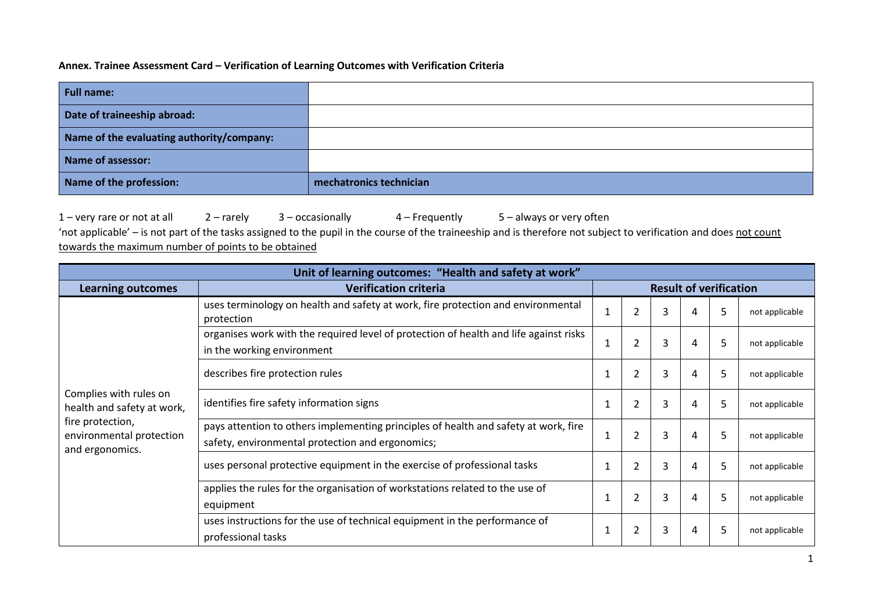## **Annex. Trainee Assessment Card – Verification of Learning Outcomes with Verification Criteria**

| <b>Full name:</b>                         |                         |
|-------------------------------------------|-------------------------|
| Date of traineeship abroad:               |                         |
| Name of the evaluating authority/company: |                         |
| Name of assessor:                         |                         |
| Name of the profession:                   | mechatronics technician |

1 – very rare or not at all 2 – rarely 3 – occasionally 4 – Frequently 5 – always or very often 'not applicable' – is not part of the tasks assigned to the pupil in the course of the traineeship and is therefore not subject to verification and does not count towards the maximum number of points to be obtained

| Unit of learning outcomes: "Health and safety at work"          |                                                                                                                                         |                               |                |   |   |   |                |
|-----------------------------------------------------------------|-----------------------------------------------------------------------------------------------------------------------------------------|-------------------------------|----------------|---|---|---|----------------|
| <b>Learning outcomes</b>                                        | <b>Verification criteria</b>                                                                                                            | <b>Result of verification</b> |                |   |   |   |                |
|                                                                 | uses terminology on health and safety at work, fire protection and environmental<br>protection                                          | $\mathbf{1}$                  | $\overline{2}$ | 3 | 4 | 5 | not applicable |
|                                                                 | organises work with the required level of protection of health and life against risks<br>in the working environment                     | 1                             | $\overline{2}$ | 3 | 4 | 5 | not applicable |
| Complies with rules on<br>health and safety at work,            | describes fire protection rules                                                                                                         | $\mathbf{1}$                  | $\overline{2}$ | 3 | 4 | 5 | not applicable |
|                                                                 | identifies fire safety information signs                                                                                                | 1                             | $\overline{2}$ | 3 | 4 | 5 | not applicable |
| fire protection,<br>environmental protection<br>and ergonomics. | pays attention to others implementing principles of health and safety at work, fire<br>safety, environmental protection and ergonomics; | $\mathbf{1}$                  | $\overline{2}$ | 3 | 4 | 5 | not applicable |
|                                                                 | uses personal protective equipment in the exercise of professional tasks                                                                | 1                             | $\overline{2}$ | 3 | 4 | 5 | not applicable |
|                                                                 | applies the rules for the organisation of workstations related to the use of<br>equipment                                               | $\mathbf{1}$                  | $\overline{2}$ | 3 | 4 | 5 | not applicable |
|                                                                 | uses instructions for the use of technical equipment in the performance of<br>professional tasks                                        | 1                             | $\overline{2}$ | 3 | 4 | 5 | not applicable |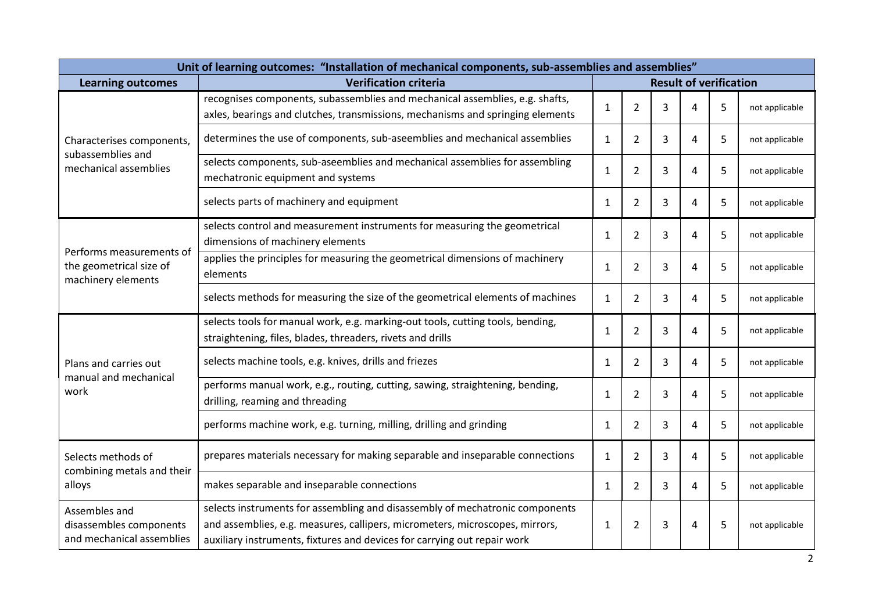| Unit of learning outcomes: "Installation of mechanical components, sub-assemblies and assemblies" |                                                                                                                                                                                                                                          |                               |                |   |   |   |                |
|---------------------------------------------------------------------------------------------------|------------------------------------------------------------------------------------------------------------------------------------------------------------------------------------------------------------------------------------------|-------------------------------|----------------|---|---|---|----------------|
| <b>Learning outcomes</b>                                                                          | <b>Verification criteria</b>                                                                                                                                                                                                             | <b>Result of verification</b> |                |   |   |   |                |
|                                                                                                   | recognises components, subassemblies and mechanical assemblies, e.g. shafts,<br>axles, bearings and clutches, transmissions, mechanisms and springing elements                                                                           | $\mathbf{1}$                  | $\overline{2}$ | 3 | 4 | 5 | not applicable |
| Characterises components,                                                                         | determines the use of components, sub-aseemblies and mechanical assemblies                                                                                                                                                               | $\mathbf{1}$                  | $\overline{2}$ | 3 | 4 | 5 | not applicable |
| subassemblies and<br>mechanical assemblies                                                        | selects components, sub-aseemblies and mechanical assemblies for assembling<br>mechatronic equipment and systems                                                                                                                         | $\mathbf{1}$                  | $\overline{2}$ | 3 | 4 | 5 | not applicable |
|                                                                                                   | selects parts of machinery and equipment                                                                                                                                                                                                 | $\mathbf{1}$                  | $\overline{2}$ | 3 | 4 | 5 | not applicable |
|                                                                                                   | selects control and measurement instruments for measuring the geometrical<br>dimensions of machinery elements                                                                                                                            | $\mathbf{1}$                  | $\overline{2}$ | 3 | 4 | 5 | not applicable |
| Performs measurements of<br>the geometrical size of<br>machinery elements                         | applies the principles for measuring the geometrical dimensions of machinery<br>elements                                                                                                                                                 | $\mathbf{1}$                  | $\overline{2}$ | 3 | 4 | 5 | not applicable |
|                                                                                                   | selects methods for measuring the size of the geometrical elements of machines                                                                                                                                                           | $\mathbf{1}$                  | $\overline{2}$ | 3 | 4 | 5 | not applicable |
|                                                                                                   | selects tools for manual work, e.g. marking-out tools, cutting tools, bending,<br>straightening, files, blades, threaders, rivets and drills                                                                                             | $\mathbf{1}$                  | $\overline{2}$ | 3 | 4 | 5 | not applicable |
| Plans and carries out<br>manual and mechanical                                                    | selects machine tools, e.g. knives, drills and friezes                                                                                                                                                                                   | $\mathbf{1}$                  | $\overline{2}$ | 3 | 4 | 5 | not applicable |
| work                                                                                              | performs manual work, e.g., routing, cutting, sawing, straightening, bending,<br>drilling, reaming and threading                                                                                                                         | 1                             | $\overline{2}$ | 3 | 4 | 5 | not applicable |
|                                                                                                   | performs machine work, e.g. turning, milling, drilling and grinding                                                                                                                                                                      | $\mathbf{1}$                  | $\overline{2}$ | 3 | 4 | 5 | not applicable |
| Selects methods of<br>combining metals and their                                                  | prepares materials necessary for making separable and inseparable connections                                                                                                                                                            | $\mathbf{1}$                  | $\overline{2}$ | 3 | 4 | 5 | not applicable |
| alloys                                                                                            | makes separable and inseparable connections                                                                                                                                                                                              | $\mathbf{1}$                  | $\overline{2}$ | 3 | 4 | 5 | not applicable |
| Assembles and<br>disassembles components<br>and mechanical assemblies                             | selects instruments for assembling and disassembly of mechatronic components<br>and assemblies, e.g. measures, callipers, micrometers, microscopes, mirrors,<br>auxiliary instruments, fixtures and devices for carrying out repair work | 1                             | $\overline{2}$ | 3 | 4 | 5 | not applicable |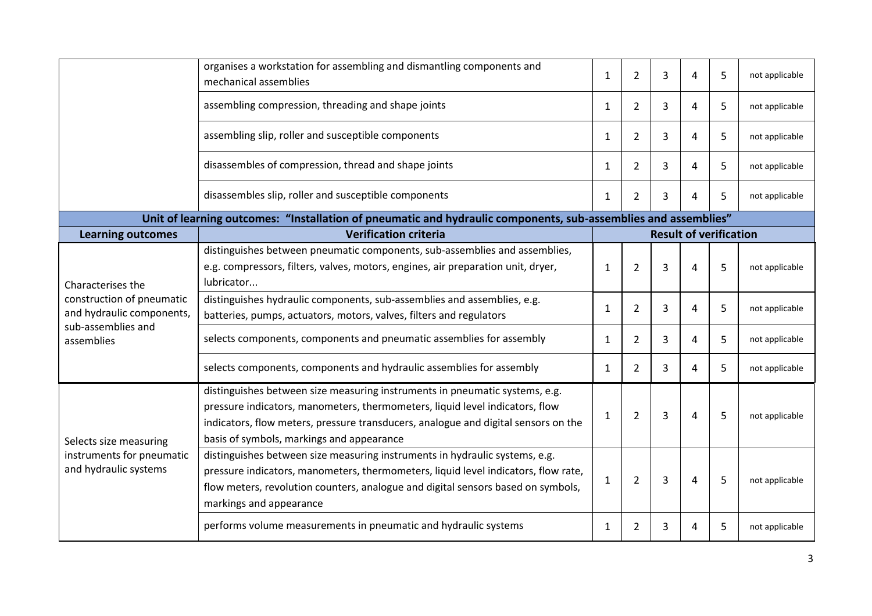|                                                        | organises a workstation for assembling and dismantling components and<br>mechanical assemblies                                                                                                                                                                                                 |              | $\overline{2}$ | 3 | 4                             | 5 | not applicable |
|--------------------------------------------------------|------------------------------------------------------------------------------------------------------------------------------------------------------------------------------------------------------------------------------------------------------------------------------------------------|--------------|----------------|---|-------------------------------|---|----------------|
|                                                        | assembling compression, threading and shape joints                                                                                                                                                                                                                                             | $\mathbf{1}$ | $\overline{2}$ | 3 | 4                             | 5 | not applicable |
|                                                        | assembling slip, roller and susceptible components                                                                                                                                                                                                                                             | $\mathbf{1}$ | $\overline{2}$ | 3 | 4                             | 5 | not applicable |
|                                                        | disassembles of compression, thread and shape joints                                                                                                                                                                                                                                           | $\mathbf{1}$ | $\overline{2}$ | 3 | 4                             | 5 | not applicable |
|                                                        | disassembles slip, roller and susceptible components                                                                                                                                                                                                                                           | $\mathbf{1}$ | 2              | 3 | 4                             | 5 | not applicable |
|                                                        | Unit of learning outcomes: "Installation of pneumatic and hydraulic components, sub-assemblies and assemblies"                                                                                                                                                                                 |              |                |   |                               |   |                |
| <b>Learning outcomes</b>                               | <b>Verification criteria</b>                                                                                                                                                                                                                                                                   |              |                |   | <b>Result of verification</b> |   |                |
| Characterises the                                      | distinguishes between pneumatic components, sub-assemblies and assemblies,<br>e.g. compressors, filters, valves, motors, engines, air preparation unit, dryer,<br>lubricator                                                                                                                   | 1            | 2              | 3 | 4                             | 5 | not applicable |
| construction of pneumatic<br>and hydraulic components, | distinguishes hydraulic components, sub-assemblies and assemblies, e.g.<br>batteries, pumps, actuators, motors, valves, filters and regulators                                                                                                                                                 | $\mathbf{1}$ | 2              | 3 | 4                             | 5 | not applicable |
| sub-assemblies and<br>assemblies                       | selects components, components and pneumatic assemblies for assembly                                                                                                                                                                                                                           | $\mathbf{1}$ | 2              | 3 | 4                             | 5 | not applicable |
|                                                        | selects components, components and hydraulic assemblies for assembly                                                                                                                                                                                                                           | $\mathbf{1}$ | $\overline{2}$ | 3 | 4                             | 5 | not applicable |
| Selects size measuring                                 | distinguishes between size measuring instruments in pneumatic systems, e.g.<br>pressure indicators, manometers, thermometers, liquid level indicators, flow<br>indicators, flow meters, pressure transducers, analogue and digital sensors on the<br>basis of symbols, markings and appearance | $\mathbf{1}$ | 2              | 3 | 4                             | 5 | not applicable |
| instruments for pneumatic<br>and hydraulic systems     | distinguishes between size measuring instruments in hydraulic systems, e.g.<br>pressure indicators, manometers, thermometers, liquid level indicators, flow rate,<br>flow meters, revolution counters, analogue and digital sensors based on symbols,<br>markings and appearance               | $\mathbf{1}$ | $\overline{2}$ | 3 | 4                             | 5 | not applicable |
|                                                        | performs volume measurements in pneumatic and hydraulic systems                                                                                                                                                                                                                                | 1            | 2              | 3 | 4                             | 5 | not applicable |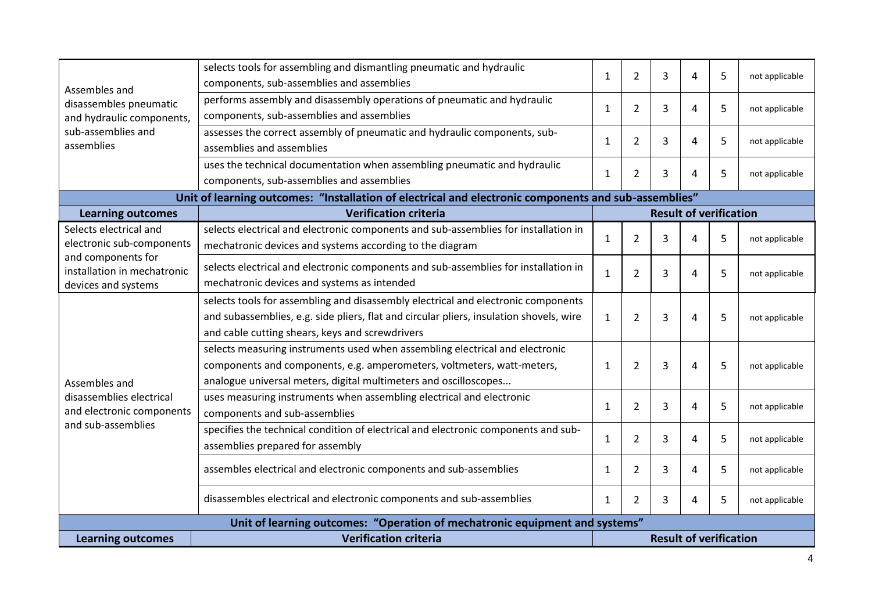| Assembles and                                                               | selects tools for assembling and dismantling pneumatic and hydraulic<br>components, sub-assemblies and assemblies                                                                                                               | $\mathbf{1}$                  | $\overline{2}$      | 3 | 4                             | 5 | not applicable |
|-----------------------------------------------------------------------------|---------------------------------------------------------------------------------------------------------------------------------------------------------------------------------------------------------------------------------|-------------------------------|---------------------|---|-------------------------------|---|----------------|
| disassembles pneumatic<br>and hydraulic components,                         | performs assembly and disassembly operations of pneumatic and hydraulic<br>components, sub-assemblies and assemblies                                                                                                            | $\mathbf{1}$                  | $\overline{2}$<br>3 |   | 4                             | 5 | not applicable |
| sub-assemblies and<br>assemblies                                            | assesses the correct assembly of pneumatic and hydraulic components, sub-<br>assemblies and assemblies                                                                                                                          | $\mathbf{1}$                  | $\overline{2}$      | 3 | 4                             | 5 | not applicable |
|                                                                             | uses the technical documentation when assembling pneumatic and hydraulic<br>components, sub-assemblies and assemblies                                                                                                           | $\mathbf{1}$                  | $\overline{2}$      | 3 | 4                             | 5 | not applicable |
|                                                                             | Unit of learning outcomes: "Installation of electrical and electronic components and sub-assemblies"                                                                                                                            |                               |                     |   |                               |   |                |
| <b>Learning outcomes</b>                                                    | <b>Verification criteria</b>                                                                                                                                                                                                    |                               |                     |   | <b>Result of verification</b> |   |                |
| Selects electrical and<br>electronic sub-components                         | selects electrical and electronic components and sub-assemblies for installation in<br>mechatronic devices and systems according to the diagram                                                                                 | $\mathbf{1}$                  | $\overline{2}$      | 3 | 4                             | 5 | not applicable |
| and components for<br>installation in mechatronic<br>devices and systems    | selects electrical and electronic components and sub-assemblies for installation in<br>mechatronic devices and systems as intended                                                                                              | $\mathbf{1}$                  | $\overline{2}$      | 3 | 4                             | 5 | not applicable |
|                                                                             | selects tools for assembling and disassembly electrical and electronic components<br>and subassemblies, e.g. side pliers, flat and circular pliers, insulation shovels, wire<br>and cable cutting shears, keys and screwdrivers | $\mathbf{1}$                  | 2                   | 3 | 4                             | 5 | not applicable |
| Assembles and                                                               | selects measuring instruments used when assembling electrical and electronic<br>components and components, e.g. amperometers, voltmeters, watt-meters,<br>analogue universal meters, digital multimeters and oscilloscopes      | 1                             | $\overline{2}$      | 3 | 4                             | 5 | not applicable |
| disassemblies electrical<br>and electronic components                       | uses measuring instruments when assembling electrical and electronic<br>components and sub-assemblies                                                                                                                           | $\mathbf{1}$                  | $\overline{2}$      | 3 | 4                             | 5 | not applicable |
| and sub-assemblies                                                          | specifies the technical condition of electrical and electronic components and sub-<br>assemblies prepared for assembly                                                                                                          | $\mathbf{1}$                  | $\overline{2}$      | 3 | 4                             | 5 | not applicable |
|                                                                             | assembles electrical and electronic components and sub-assemblies                                                                                                                                                               | $\mathbf{1}$                  | $\overline{2}$      | 3 | 4                             | 5 | not applicable |
|                                                                             | disassembles electrical and electronic components and sub-assemblies                                                                                                                                                            | 1                             | $\overline{2}$      | 3 | 4                             | 5 | not applicable |
| Unit of learning outcomes: "Operation of mechatronic equipment and systems" |                                                                                                                                                                                                                                 |                               |                     |   |                               |   |                |
| <b>Learning outcomes</b>                                                    | <b>Verification criteria</b>                                                                                                                                                                                                    | <b>Result of verification</b> |                     |   |                               |   |                |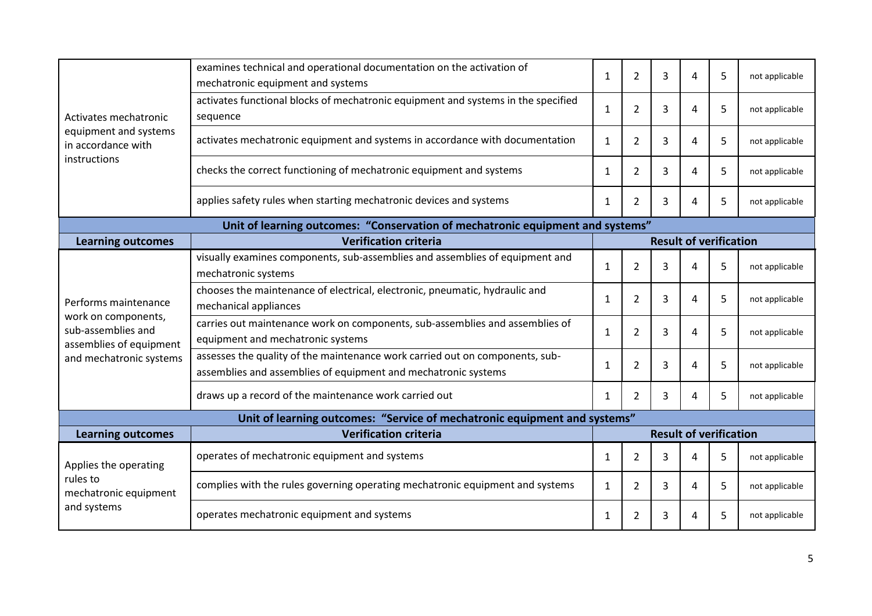|                                                                      | examines technical and operational documentation on the activation of<br>mechatronic equipment and systems                                     |                               | $\overline{2}$ | 3 | 4 | 5 | not applicable |
|----------------------------------------------------------------------|------------------------------------------------------------------------------------------------------------------------------------------------|-------------------------------|----------------|---|---|---|----------------|
| Activates mechatronic                                                | activates functional blocks of mechatronic equipment and systems in the specified<br>sequence                                                  | $\mathbf{1}$                  | $\overline{2}$ | 3 | 4 | 5 | not applicable |
| equipment and systems<br>in accordance with                          | activates mechatronic equipment and systems in accordance with documentation                                                                   | $\mathbf{1}$                  | $\overline{2}$ | 3 | 4 | 5 | not applicable |
| instructions                                                         | checks the correct functioning of mechatronic equipment and systems                                                                            | $\mathbf{1}$                  | $\overline{2}$ | 3 | 4 | 5 | not applicable |
|                                                                      | applies safety rules when starting mechatronic devices and systems                                                                             | $\mathbf{1}$                  | $\overline{2}$ | 3 | 4 | 5 | not applicable |
|                                                                      | Unit of learning outcomes: "Conservation of mechatronic equipment and systems"                                                                 |                               |                |   |   |   |                |
| <b>Learning outcomes</b>                                             | <b>Verification criteria</b>                                                                                                                   | <b>Result of verification</b> |                |   |   |   |                |
|                                                                      | visually examines components, sub-assemblies and assemblies of equipment and<br>mechatronic systems                                            | $\mathbf{1}$                  | $\overline{2}$ | 3 | 4 | 5 | not applicable |
| Performs maintenance                                                 | chooses the maintenance of electrical, electronic, pneumatic, hydraulic and<br>mechanical appliances                                           | $\mathbf{1}$                  | 2              | 3 | 4 | 5 | not applicable |
| work on components,<br>sub-assemblies and<br>assemblies of equipment | carries out maintenance work on components, sub-assemblies and assemblies of<br>equipment and mechatronic systems                              |                               | $\overline{2}$ | 3 | 4 | 5 | not applicable |
| and mechatronic systems                                              | assesses the quality of the maintenance work carried out on components, sub-<br>assemblies and assemblies of equipment and mechatronic systems |                               | $\overline{2}$ | 3 | 4 | 5 | not applicable |
|                                                                      | draws up a record of the maintenance work carried out                                                                                          | $\mathbf{1}$                  | $\overline{2}$ | 3 | 4 | 5 | not applicable |
|                                                                      | Unit of learning outcomes: "Service of mechatronic equipment and systems"                                                                      |                               |                |   |   |   |                |
| <b>Learning outcomes</b>                                             | <b>Verification criteria</b>                                                                                                                   | <b>Result of verification</b> |                |   |   |   |                |
| Applies the operating                                                | operates of mechatronic equipment and systems                                                                                                  | $\mathbf{1}$                  | $\overline{2}$ | 3 | 4 | 5 | not applicable |
| rules to<br>mechatronic equipment                                    | complies with the rules governing operating mechatronic equipment and systems                                                                  | $\mathbf{1}$                  | $\overline{2}$ | 3 | 4 | 5 | not applicable |
| and systems                                                          | operates mechatronic equipment and systems                                                                                                     | $\mathbf{1}$                  | 2              | 3 | 4 | 5 | not applicable |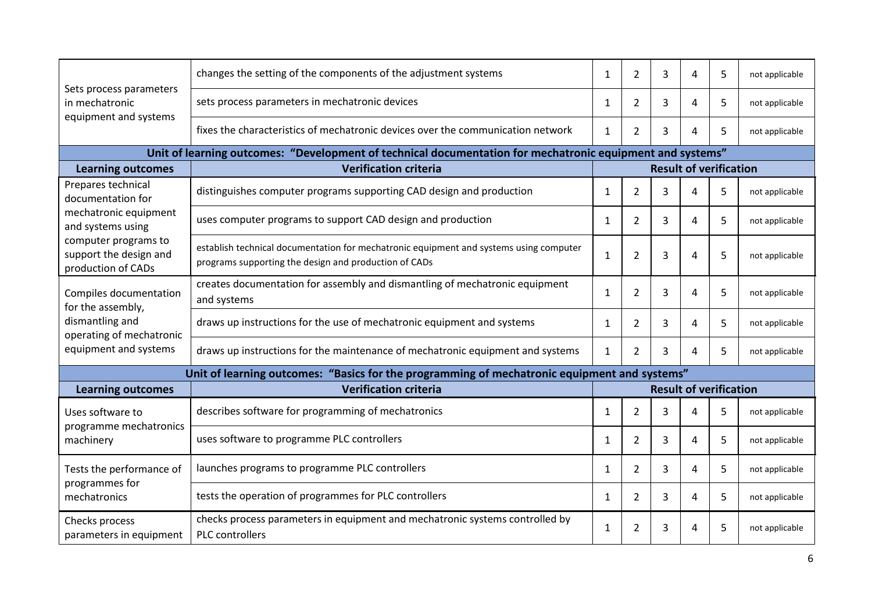|                                                                      | changes the setting of the components of the adjustment systems                                                                                                                      |                               | $\overline{2}$ | 3              | 4                             | 5 | not applicable |
|----------------------------------------------------------------------|--------------------------------------------------------------------------------------------------------------------------------------------------------------------------------------|-------------------------------|----------------|----------------|-------------------------------|---|----------------|
| Sets process parameters<br>in mechatronic                            | sets process parameters in mechatronic devices                                                                                                                                       | $\mathbf{1}$<br>1             | 2              | 3              | 4                             | 5 | not applicable |
| equipment and systems                                                | fixes the characteristics of mechatronic devices over the communication network                                                                                                      | $\mathbf{1}$                  | $\overline{2}$ | 3              | 4                             | 5 | not applicable |
|                                                                      | Unit of learning outcomes: "Development of technical documentation for mechatronic equipment and systems"                                                                            |                               |                |                |                               |   |                |
| <b>Learning outcomes</b>                                             | <b>Verification criteria</b>                                                                                                                                                         | <b>Result of verification</b> |                |                |                               |   |                |
| Prepares technical<br>documentation for                              | distinguishes computer programs supporting CAD design and production                                                                                                                 | $\mathbf{1}$                  | $\overline{2}$ | $\overline{3}$ | 4                             | 5 | not applicable |
| mechatronic equipment<br>and systems using                           | uses computer programs to support CAD design and production                                                                                                                          | 1                             | $\overline{2}$ | 3              | 4                             | 5 | not applicable |
| computer programs to<br>support the design and<br>production of CADs | establish technical documentation for mechatronic equipment and systems using computer<br>programs supporting the design and production of CADs                                      |                               | $\overline{2}$ | 3              | 4                             | 5 | not applicable |
| Compiles documentation<br>for the assembly,                          | creates documentation for assembly and dismantling of mechatronic equipment<br>and systems                                                                                           |                               | $\overline{2}$ | 3              | 4                             | 5 | not applicable |
| dismantling and                                                      | draws up instructions for the use of mechatronic equipment and systems<br>operating of mechatronic<br>draws up instructions for the maintenance of mechatronic equipment and systems |                               | 2              | 3              | 4                             | 5 | not applicable |
| equipment and systems                                                |                                                                                                                                                                                      |                               | $\overline{2}$ | 3              | 4                             | 5 | not applicable |
|                                                                      | Unit of learning outcomes: "Basics for the programming of mechatronic equipment and systems"                                                                                         |                               |                |                |                               |   |                |
| <b>Learning outcomes</b>                                             | <b>Verification criteria</b>                                                                                                                                                         |                               |                |                | <b>Result of verification</b> |   |                |
| Uses software to                                                     | describes software for programming of mechatronics                                                                                                                                   | 1                             | $\overline{2}$ | 3              | 4                             | 5 | not applicable |
| programme mechatronics<br>machinery                                  | uses software to programme PLC controllers                                                                                                                                           | 1                             | 2              | 3              | $\overline{4}$                | 5 | not applicable |
| Tests the performance of                                             | launches programs to programme PLC controllers                                                                                                                                       | $\mathbf{1}$                  | $\overline{2}$ | 3              | 4                             | 5 | not applicable |
| programmes for<br>mechatronics                                       | tests the operation of programmes for PLC controllers                                                                                                                                | $\mathbf{1}$                  | $\overline{2}$ | 3              | 4                             | 5 | not applicable |
| Checks process<br>parameters in equipment                            | checks process parameters in equipment and mechatronic systems controlled by<br>$\mathbf{1}$<br>PLC controllers                                                                      |                               | 2              | 3              | 4                             | 5 | not applicable |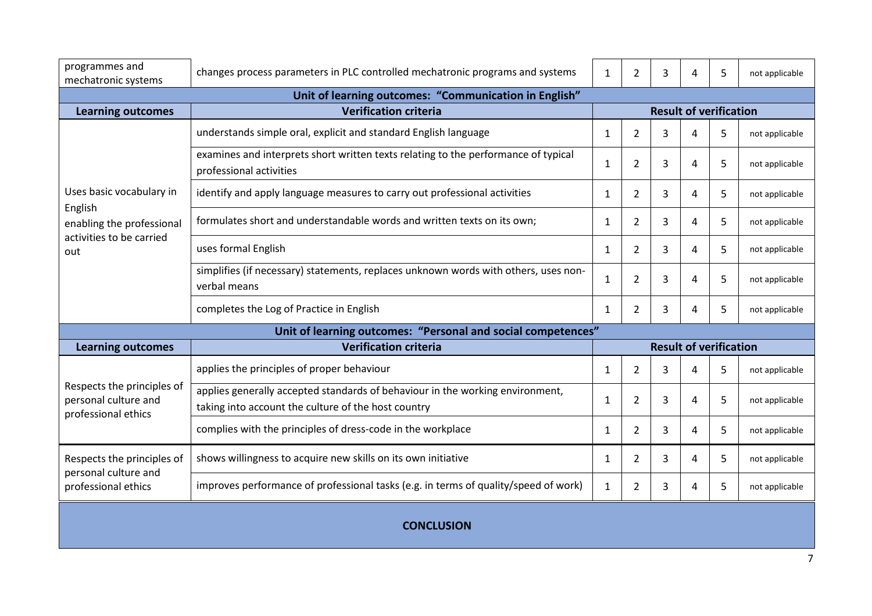| programmes and<br>mechatronic systems                                     | changes process parameters in PLC controlled mechatronic programs and systems                                                        | $\overline{2}$<br>5<br>$\mathbf{1}$<br>3<br>4 |                | not applicable |   |                               |                |
|---------------------------------------------------------------------------|--------------------------------------------------------------------------------------------------------------------------------------|-----------------------------------------------|----------------|----------------|---|-------------------------------|----------------|
|                                                                           | Unit of learning outcomes: "Communication in English"                                                                                |                                               |                |                |   |                               |                |
| <b>Learning outcomes</b>                                                  | <b>Verification criteria</b>                                                                                                         |                                               |                |                |   | <b>Result of verification</b> |                |
|                                                                           | understands simple oral, explicit and standard English language                                                                      | $\mathbf{1}$                                  | 2              | 3              | 4 | 5                             | not applicable |
|                                                                           | examines and interprets short written texts relating to the performance of typical<br>professional activities                        | $\mathbf{1}$                                  | $\overline{2}$ | 3              | 4 | 5                             | not applicable |
| Uses basic vocabulary in<br>English                                       | identify and apply language measures to carry out professional activities                                                            | 1                                             | $\overline{2}$ | 3              | 4 | 5                             | not applicable |
| enabling the professional                                                 | formulates short and understandable words and written texts on its own;                                                              | 1                                             | $\overline{2}$ | 3              | 4 | 5                             | not applicable |
| activities to be carried<br>out                                           | uses formal English                                                                                                                  |                                               | $\overline{2}$ | 3              | 4 | 5                             | not applicable |
|                                                                           | simplifies (if necessary) statements, replaces unknown words with others, uses non-<br>verbal means                                  | $\mathbf{1}$                                  | $\overline{2}$ | 3              | 4 | 5                             | not applicable |
|                                                                           | completes the Log of Practice in English                                                                                             | 1                                             | $\overline{2}$ | 3              | 4 | 5                             | not applicable |
|                                                                           | Unit of learning outcomes: "Personal and social competences"                                                                         |                                               |                |                |   |                               |                |
| <b>Learning outcomes</b>                                                  | <b>Result of verification</b><br><b>Verification criteria</b>                                                                        |                                               |                |                |   |                               |                |
|                                                                           | applies the principles of proper behaviour                                                                                           | $\mathbf{1}$                                  | 2              | 3              | 4 | 5                             | not applicable |
| Respects the principles of<br>personal culture and<br>professional ethics | applies generally accepted standards of behaviour in the working environment,<br>taking into account the culture of the host country | $\mathbf 1$                                   | $\overline{2}$ | 3              | 4 | 5                             | not applicable |
|                                                                           | complies with the principles of dress-code in the workplace                                                                          | $\mathbf{1}$                                  | $\overline{2}$ | 3              | 4 | 5                             | not applicable |
| Respects the principles of<br>personal culture and                        | shows willingness to acquire new skills on its own initiative                                                                        |                                               | $\overline{2}$ | 3              | 4 | 5                             | not applicable |
| professional ethics                                                       | improves performance of professional tasks (e.g. in terms of quality/speed of work)                                                  | $\mathbf{1}$                                  | $\overline{2}$ | 3              | 4 | 5                             | not applicable |
| <b>CONCLUSION</b>                                                         |                                                                                                                                      |                                               |                |                |   |                               |                |